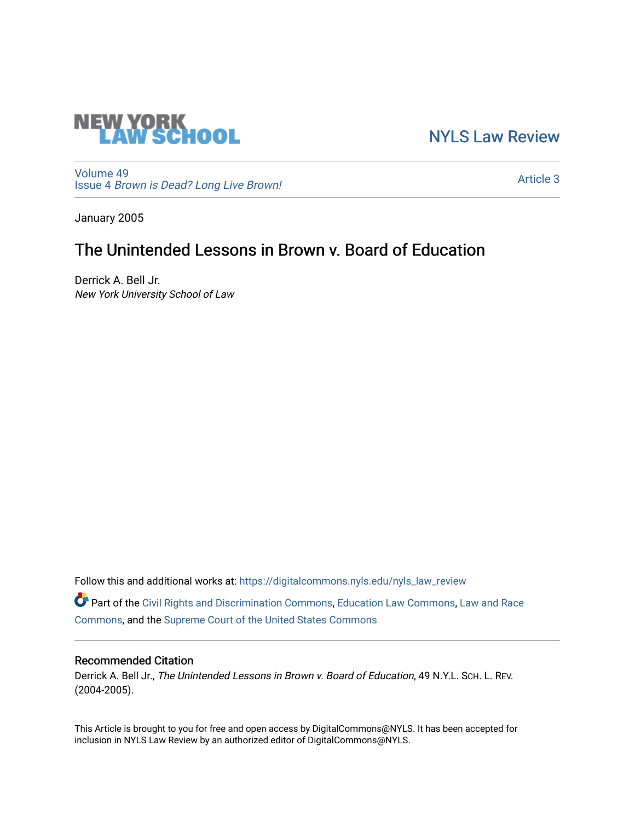

[NYLS Law Review](https://digitalcommons.nyls.edu/nyls_law_review) 

[Volume 49](https://digitalcommons.nyls.edu/nyls_law_review/vol49) Issue 4 [Brown is Dead? Long Live Brown!](https://digitalcommons.nyls.edu/nyls_law_review/vol49/iss4)

[Article 3](https://digitalcommons.nyls.edu/nyls_law_review/vol49/iss4/3) 

January 2005

# The Unintended Lessons in Brown v. Board of Education

Derrick A. Bell Jr. New York University School of Law

Follow this and additional works at: [https://digitalcommons.nyls.edu/nyls\\_law\\_review](https://digitalcommons.nyls.edu/nyls_law_review?utm_source=digitalcommons.nyls.edu%2Fnyls_law_review%2Fvol49%2Fiss4%2F3&utm_medium=PDF&utm_campaign=PDFCoverPages) 

Part of the [Civil Rights and Discrimination Commons,](https://network.bepress.com/hgg/discipline/585?utm_source=digitalcommons.nyls.edu%2Fnyls_law_review%2Fvol49%2Fiss4%2F3&utm_medium=PDF&utm_campaign=PDFCoverPages) [Education Law Commons](https://network.bepress.com/hgg/discipline/596?utm_source=digitalcommons.nyls.edu%2Fnyls_law_review%2Fvol49%2Fiss4%2F3&utm_medium=PDF&utm_campaign=PDFCoverPages), [Law and Race](https://network.bepress.com/hgg/discipline/1300?utm_source=digitalcommons.nyls.edu%2Fnyls_law_review%2Fvol49%2Fiss4%2F3&utm_medium=PDF&utm_campaign=PDFCoverPages) [Commons](https://network.bepress.com/hgg/discipline/1300?utm_source=digitalcommons.nyls.edu%2Fnyls_law_review%2Fvol49%2Fiss4%2F3&utm_medium=PDF&utm_campaign=PDFCoverPages), and the [Supreme Court of the United States Commons](https://network.bepress.com/hgg/discipline/1350?utm_source=digitalcommons.nyls.edu%2Fnyls_law_review%2Fvol49%2Fiss4%2F3&utm_medium=PDF&utm_campaign=PDFCoverPages) 

# Recommended Citation

Derrick A. Bell Jr., The Unintended Lessons in Brown v. Board of Education, 49 N.Y.L. Sch. L. REV. (2004-2005).

This Article is brought to you for free and open access by DigitalCommons@NYLS. It has been accepted for inclusion in NYLS Law Review by an authorized editor of DigitalCommons@NYLS.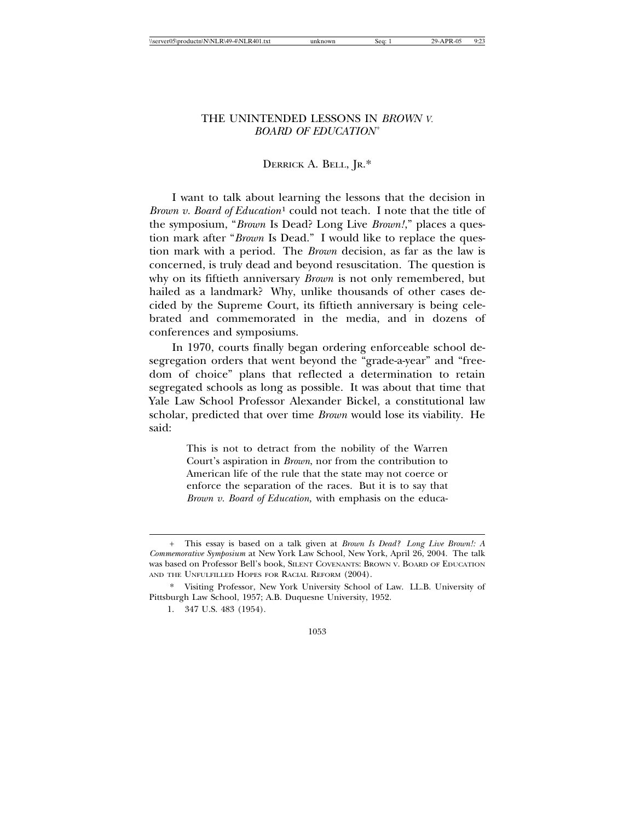| \server05\productn\N\NLR\49-4\NLR401.1 |  |
|----------------------------------------|--|
|----------------------------------------|--|

## THE UNINTENDED LESSONS IN *BROWN V. BOARD OF EDUCATION*<sup>+</sup>

# DERRICK A. BELL, JR.\*

I want to talk about learning the lessons that the decision in *Brown v. Board of Education*1 could not teach. I note that the title of the symposium, "*Brown* Is Dead? Long Live *Brown!*," places a question mark after "*Brown* Is Dead." I would like to replace the question mark with a period. The *Brown* decision, as far as the law is concerned, is truly dead and beyond resuscitation. The question is why on its fiftieth anniversary *Brown* is not only remembered, but hailed as a landmark? Why, unlike thousands of other cases decided by the Supreme Court, its fiftieth anniversary is being celebrated and commemorated in the media, and in dozens of conferences and symposiums.

In 1970, courts finally began ordering enforceable school desegregation orders that went beyond the "grade-a-year" and "freedom of choice" plans that reflected a determination to retain segregated schools as long as possible. It was about that time that Yale Law School Professor Alexander Bickel, a constitutional law scholar, predicted that over time *Brown* would lose its viability. He said:

> This is not to detract from the nobility of the Warren Court's aspiration in *Brown*, nor from the contribution to American life of the rule that the state may not coerce or enforce the separation of the races. But it is to say that *Brown v. Board of Education,* with emphasis on the educa-



<sup>+</sup> This essay is based on a talk given at *Brown Is Dead? Long Live Brown!: A Commemorative Symposium* at New York Law School, New York, April 26, 2004. The talk was based on Professor Bell's book, SILENT COVENANTS: BROWN V. BOARD OF EDUCATION AND THE UNFULFILLED HOPES FOR RACIAL REFORM (2004).

<sup>\*</sup> Visiting Professor, New York University School of Law. LL.B. University of Pittsburgh Law School, 1957; A.B. Duquesne University, 1952.

<sup>1. 347</sup> U.S. 483 (1954).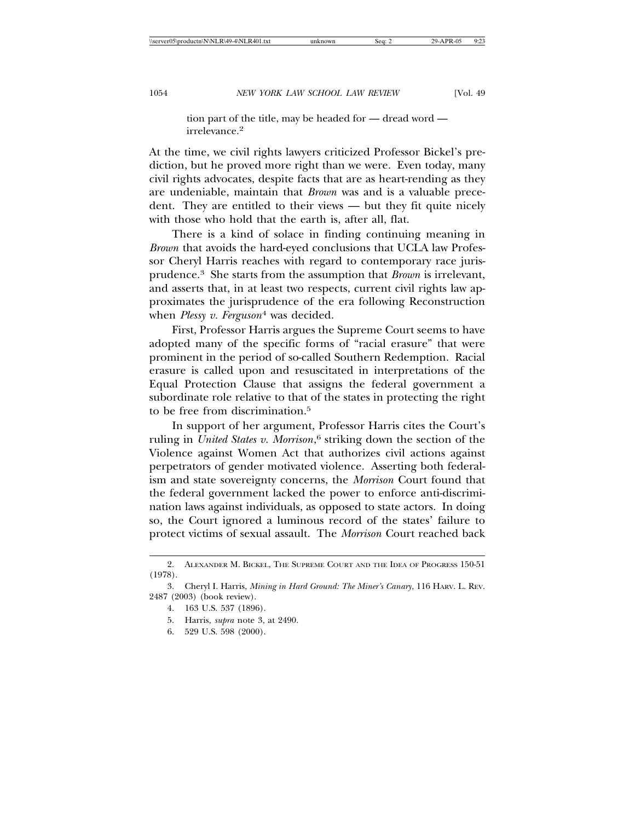tion part of the title, may be headed for — dread word irrelevance.<sup>2</sup>

At the time, we civil rights lawyers criticized Professor Bickel's prediction, but he proved more right than we were. Even today, many civil rights advocates, despite facts that are as heart-rending as they are undeniable, maintain that *Brown* was and is a valuable precedent. They are entitled to their views — but they fit quite nicely with those who hold that the earth is, after all, flat.

There is a kind of solace in finding continuing meaning in *Brown* that avoids the hard-eyed conclusions that UCLA law Professor Cheryl Harris reaches with regard to contemporary race jurisprudence.3 She starts from the assumption that *Brown* is irrelevant, and asserts that, in at least two respects, current civil rights law approximates the jurisprudence of the era following Reconstruction when *Plessy v. Ferguson*4 was decided.

First, Professor Harris argues the Supreme Court seems to have adopted many of the specific forms of "racial erasure" that were prominent in the period of so-called Southern Redemption. Racial erasure is called upon and resuscitated in interpretations of the Equal Protection Clause that assigns the federal government a subordinate role relative to that of the states in protecting the right to be free from discrimination.5

In support of her argument, Professor Harris cites the Court's ruling in *United States v. Morrison*, 6 striking down the section of the Violence against Women Act that authorizes civil actions against perpetrators of gender motivated violence. Asserting both federalism and state sovereignty concerns, the *Morrison* Court found that the federal government lacked the power to enforce anti-discrimination laws against individuals, as opposed to state actors. In doing so, the Court ignored a luminous record of the states' failure to protect victims of sexual assault. The *Morrison* Court reached back

6. 529 U.S. 598 (2000).

<sup>2.</sup> ALEXANDER M. BICKEL, THE SUPREME COURT AND THE IDEA OF PROGRESS 150-51 (1978).

<sup>3.</sup> Cheryl I. Harris, *Mining in Hard Ground: The Miner's Canary*, 116 HARV. L. REV. 2487 (2003) (book review).

<sup>4. 163</sup> U.S. 537 (1896).

<sup>5.</sup> Harris, *supra* note 3, at 2490.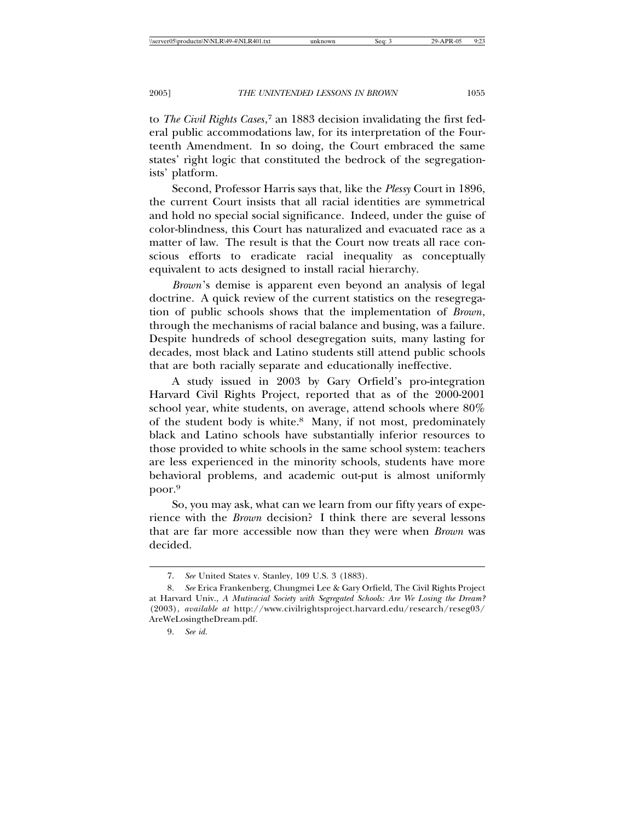to *The Civil Rights Cases*, 7 an 1883 decision invalidating the first federal public accommodations law, for its interpretation of the Fourteenth Amendment. In so doing, the Court embraced the same states' right logic that constituted the bedrock of the segregationists' platform.

Second, Professor Harris says that, like the *Plessy* Court in 1896, the current Court insists that all racial identities are symmetrical and hold no special social significance. Indeed, under the guise of color-blindness, this Court has naturalized and evacuated race as a matter of law. The result is that the Court now treats all race conscious efforts to eradicate racial inequality as conceptually equivalent to acts designed to install racial hierarchy.

*Brown*'s demise is apparent even beyond an analysis of legal doctrine. A quick review of the current statistics on the resegregation of public schools shows that the implementation of *Brown*, through the mechanisms of racial balance and busing, was a failure. Despite hundreds of school desegregation suits, many lasting for decades, most black and Latino students still attend public schools that are both racially separate and educationally ineffective.

A study issued in 2003 by Gary Orfield's pro-integration Harvard Civil Rights Project, reported that as of the 2000-2001 school year, white students, on average, attend schools where 80% of the student body is white.8 Many, if not most, predominately black and Latino schools have substantially inferior resources to those provided to white schools in the same school system: teachers are less experienced in the minority schools, students have more behavioral problems, and academic out-put is almost uniformly poor.9

So, you may ask, what can we learn from our fifty years of experience with the *Brown* decision? I think there are several lessons that are far more accessible now than they were when *Brown* was decided.

<sup>7.</sup> *See* United States v. Stanley, 109 U.S. 3 (1883).

<sup>8.</sup> *See* Erica Frankenberg, Chungmei Lee & Gary Orfield, The Civil Rights Project at Harvard Univ., *A Mutiracial Society with Segregated Schools: Are We Losing the Dream?* (2003), *available at* http://www.civilrightsproject.harvard.edu/research/reseg03/ AreWeLosingtheDream.pdf.

<sup>9.</sup> *See id.*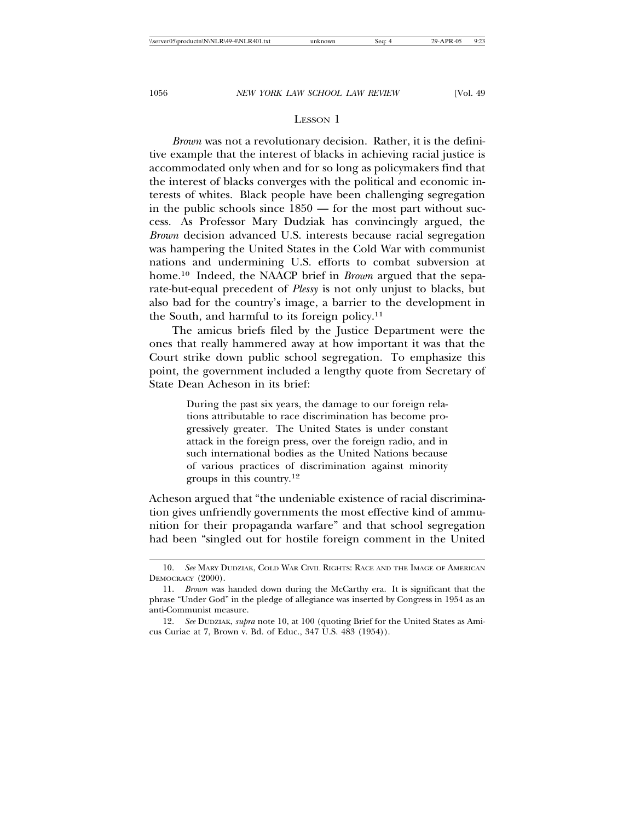#### LESSON 1

*Brown* was not a revolutionary decision. Rather, it is the definitive example that the interest of blacks in achieving racial justice is accommodated only when and for so long as policymakers find that the interest of blacks converges with the political and economic interests of whites. Black people have been challenging segregation in the public schools since 1850 — for the most part without success. As Professor Mary Dudziak has convincingly argued, the *Brown* decision advanced U.S. interests because racial segregation was hampering the United States in the Cold War with communist nations and undermining U.S. efforts to combat subversion at home.10 Indeed, the NAACP brief in *Brown* argued that the separate-but-equal precedent of *Plessy* is not only unjust to blacks, but also bad for the country's image, a barrier to the development in the South, and harmful to its foreign policy.11

The amicus briefs filed by the Justice Department were the ones that really hammered away at how important it was that the Court strike down public school segregation. To emphasize this point, the government included a lengthy quote from Secretary of State Dean Acheson in its brief:

> During the past six years, the damage to our foreign relations attributable to race discrimination has become progressively greater. The United States is under constant attack in the foreign press, over the foreign radio, and in such international bodies as the United Nations because of various practices of discrimination against minority groups in this country.12

Acheson argued that "the undeniable existence of racial discrimination gives unfriendly governments the most effective kind of ammunition for their propaganda warfare" and that school segregation had been "singled out for hostile foreign comment in the United

<sup>10.</sup> *See* MARY DUDZIAK, COLD WAR CIVIL RIGHTS: RACE AND THE IMAGE OF AMERICAN DEMOCRACY (2000).

<sup>11.</sup> *Brown* was handed down during the McCarthy era. It is significant that the phrase "Under God" in the pledge of allegiance was inserted by Congress in 1954 as an anti-Communist measure.

<sup>12.</sup> *See* DUDZIAK, *supra* note 10, at 100 (quoting Brief for the United States as Amicus Curiae at 7, Brown v. Bd. of Educ., 347 U.S. 483 (1954)).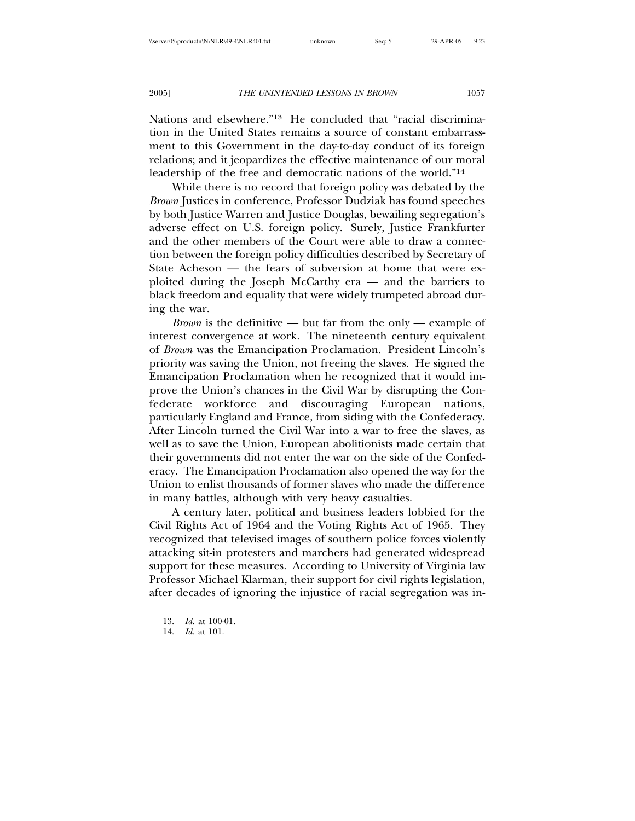Nations and elsewhere."13 He concluded that "racial discrimination in the United States remains a source of constant embarrassment to this Government in the day-to-day conduct of its foreign relations; and it jeopardizes the effective maintenance of our moral leadership of the free and democratic nations of the world."14

While there is no record that foreign policy was debated by the *Brown* Justices in conference, Professor Dudziak has found speeches by both Justice Warren and Justice Douglas, bewailing segregation's adverse effect on U.S. foreign policy. Surely, Justice Frankfurter and the other members of the Court were able to draw a connection between the foreign policy difficulties described by Secretary of State Acheson — the fears of subversion at home that were exploited during the Joseph McCarthy era — and the barriers to black freedom and equality that were widely trumpeted abroad during the war.

*Brown* is the definitive — but far from the only — example of interest convergence at work. The nineteenth century equivalent of *Brown* was the Emancipation Proclamation. President Lincoln's priority was saving the Union, not freeing the slaves. He signed the Emancipation Proclamation when he recognized that it would improve the Union's chances in the Civil War by disrupting the Confederate workforce and discouraging European nations, particularly England and France, from siding with the Confederacy. After Lincoln turned the Civil War into a war to free the slaves, as well as to save the Union, European abolitionists made certain that their governments did not enter the war on the side of the Confederacy. The Emancipation Proclamation also opened the way for the Union to enlist thousands of former slaves who made the difference in many battles, although with very heavy casualties.

A century later, political and business leaders lobbied for the Civil Rights Act of 1964 and the Voting Rights Act of 1965. They recognized that televised images of southern police forces violently attacking sit-in protesters and marchers had generated widespread support for these measures. According to University of Virginia law Professor Michael Klarman, their support for civil rights legislation, after decades of ignoring the injustice of racial segregation was in-

<sup>13.</sup> *Id.* at 100-01.

<sup>14.</sup> *Id.* at 101.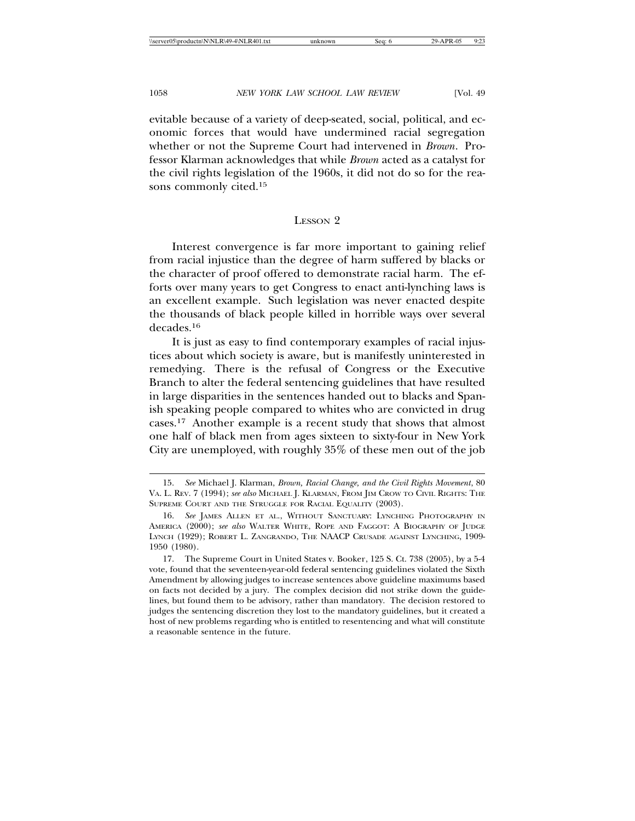evitable because of a variety of deep-seated, social, political, and economic forces that would have undermined racial segregation whether or not the Supreme Court had intervened in *Brown*. Professor Klarman acknowledges that while *Brown* acted as a catalyst for the civil rights legislation of the 1960s, it did not do so for the reasons commonly cited.15

#### LESSON 2

Interest convergence is far more important to gaining relief from racial injustice than the degree of harm suffered by blacks or the character of proof offered to demonstrate racial harm. The efforts over many years to get Congress to enact anti-lynching laws is an excellent example. Such legislation was never enacted despite the thousands of black people killed in horrible ways over several decades.16

It is just as easy to find contemporary examples of racial injustices about which society is aware, but is manifestly uninterested in remedying. There is the refusal of Congress or the Executive Branch to alter the federal sentencing guidelines that have resulted in large disparities in the sentences handed out to blacks and Spanish speaking people compared to whites who are convicted in drug cases.17 Another example is a recent study that shows that almost one half of black men from ages sixteen to sixty-four in New York City are unemployed, with roughly 35% of these men out of the job

<sup>15.</sup> *See* Michael J. Klarman, *Brown, Racial Change, and the Civil Rights Movement*, 80 VA. L. REV. 7 (1994); *see also* MICHAEL J. KLARMAN, FROM JIM CROW TO CIVIL RIGHTS: THE SUPREME COURT AND THE STRUGGLE FOR RACIAL EQUALITY (2003).

<sup>16.</sup> *See* JAMES ALLEN ET AL., WITHOUT SANCTUARY: LYNCHING PHOTOGRAPHY IN AMERICA (2000); *see also* WALTER WHITE, ROPE AND FAGGOT: A BIOGRAPHY OF JUDGE LYNCH (1929); ROBERT L. ZANGRANDO, THE NAACP CRUSADE AGAINST LYNCHING, 1909- 1950 (1980).

<sup>17.</sup> The Supreme Court in United States v. Booker, 125 S. Ct. 738 (2005), by a 5-4 vote, found that the seventeen-year-old federal sentencing guidelines violated the Sixth Amendment by allowing judges to increase sentences above guideline maximums based on facts not decided by a jury. The complex decision did not strike down the guidelines, but found them to be advisory, rather than mandatory. The decision restored to judges the sentencing discretion they lost to the mandatory guidelines, but it created a host of new problems regarding who is entitled to resentencing and what will constitute a reasonable sentence in the future.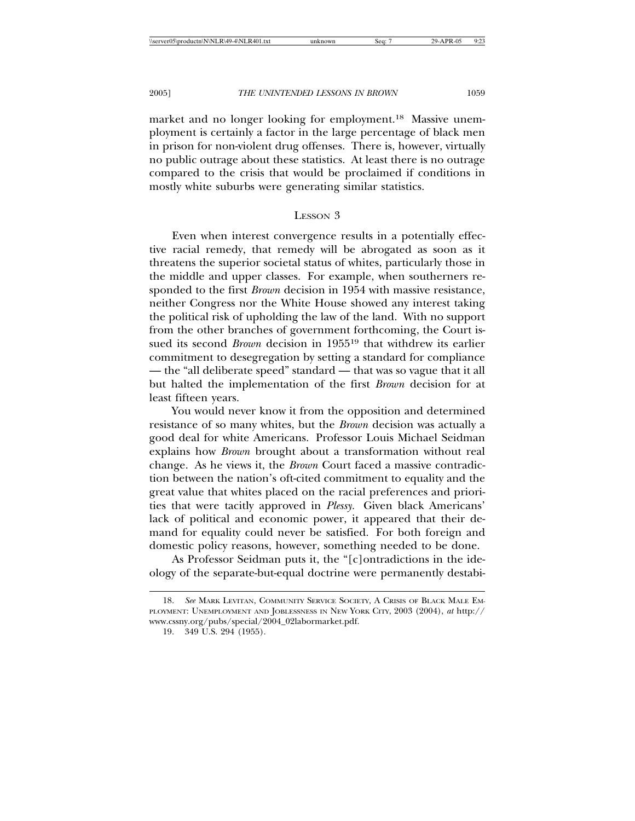market and no longer looking for employment.18 Massive unemployment is certainly a factor in the large percentage of black men in prison for non-violent drug offenses. There is, however, virtually no public outrage about these statistics. At least there is no outrage compared to the crisis that would be proclaimed if conditions in mostly white suburbs were generating similar statistics.

#### LESSON 3

Even when interest convergence results in a potentially effective racial remedy, that remedy will be abrogated as soon as it threatens the superior societal status of whites, particularly those in the middle and upper classes. For example, when southerners responded to the first *Brown* decision in 1954 with massive resistance, neither Congress nor the White House showed any interest taking the political risk of upholding the law of the land. With no support from the other branches of government forthcoming, the Court issued its second *Brown* decision in 195519 that withdrew its earlier commitment to desegregation by setting a standard for compliance — the "all deliberate speed" standard — that was so vague that it all but halted the implementation of the first *Brown* decision for at least fifteen years.

You would never know it from the opposition and determined resistance of so many whites, but the *Brown* decision was actually a good deal for white Americans. Professor Louis Michael Seidman explains how *Brown* brought about a transformation without real change. As he views it, the *Brown* Court faced a massive contradiction between the nation's oft-cited commitment to equality and the great value that whites placed on the racial preferences and priorities that were tacitly approved in *Plessy.* Given black Americans' lack of political and economic power, it appeared that their demand for equality could never be satisfied. For both foreign and domestic policy reasons, however, something needed to be done.

As Professor Seidman puts it, the "[c]ontradictions in the ideology of the separate-but-equal doctrine were permanently destabi-

<sup>18.</sup> *See* MARK LEVITAN, COMMUNITY SERVICE SOCIETY, A CRISIS OF BLACK MALE EM-PLOYMENT: UNEMPLOYMENT AND JOBLESSNESS IN NEW YORK CITY, 2003 (2004), *at* http:// www.cssny.org/pubs/special/2004\_02labormarket.pdf.

<sup>19. 349</sup> U.S. 294 (1955).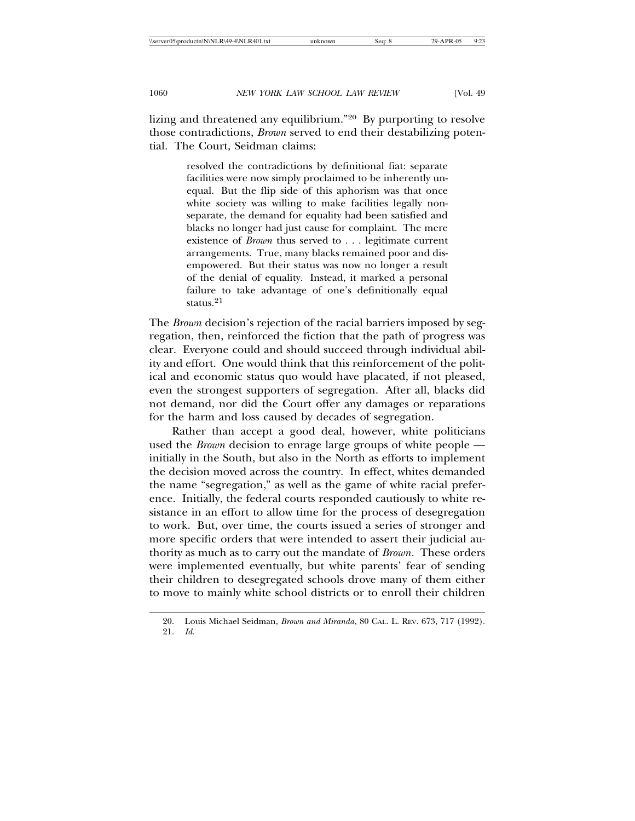lizing and threatened any equilibrium."20 By purporting to resolve those contradictions, *Brown* served to end their destabilizing potential. The Court, Seidman claims:

> resolved the contradictions by definitional fiat: separate facilities were now simply proclaimed to be inherently unequal. But the flip side of this aphorism was that once white society was willing to make facilities legally nonseparate, the demand for equality had been satisfied and blacks no longer had just cause for complaint. The mere existence of *Brown* thus served to . . . legitimate current arrangements. True, many blacks remained poor and disempowered. But their status was now no longer a result of the denial of equality. Instead, it marked a personal failure to take advantage of one's definitionally equal status.<sup>21</sup>

The *Brown* decision's rejection of the racial barriers imposed by segregation, then, reinforced the fiction that the path of progress was clear. Everyone could and should succeed through individual ability and effort. One would think that this reinforcement of the political and economic status quo would have placated, if not pleased, even the strongest supporters of segregation. After all, blacks did not demand, nor did the Court offer any damages or reparations for the harm and loss caused by decades of segregation.

Rather than accept a good deal, however, white politicians used the *Brown* decision to enrage large groups of white people initially in the South, but also in the North as efforts to implement the decision moved across the country. In effect, whites demanded the name "segregation," as well as the game of white racial preference. Initially, the federal courts responded cautiously to white resistance in an effort to allow time for the process of desegregation to work. But, over time, the courts issued a series of stronger and more specific orders that were intended to assert their judicial authority as much as to carry out the mandate of *Brown*. These orders were implemented eventually, but white parents' fear of sending their children to desegregated schools drove many of them either to move to mainly white school districts or to enroll their children

<sup>20.</sup> Louis Michael Seidman, *Brown and Miranda*, 80 CAL. L. REV. 673, 717 (1992). 21. *Id*.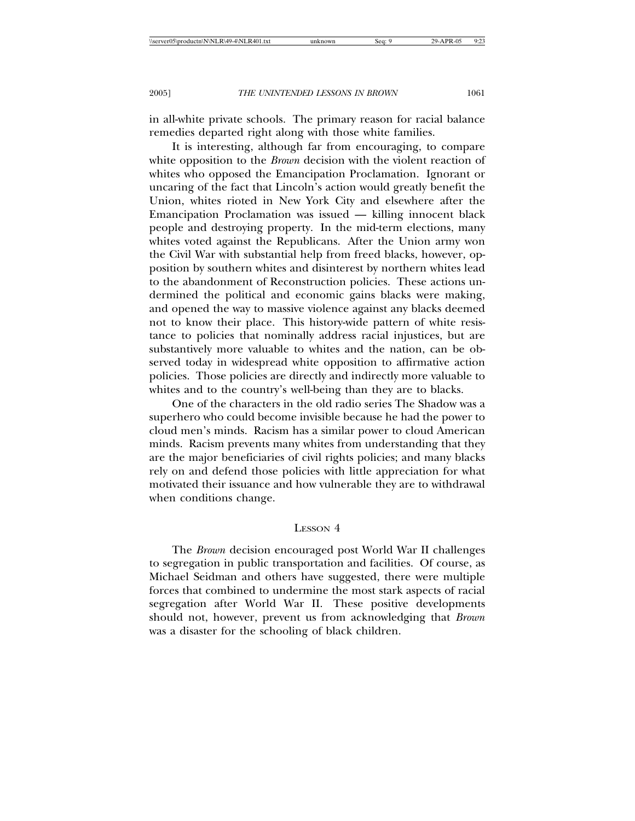in all-white private schools. The primary reason for racial balance remedies departed right along with those white families.

It is interesting, although far from encouraging, to compare white opposition to the *Brown* decision with the violent reaction of whites who opposed the Emancipation Proclamation. Ignorant or uncaring of the fact that Lincoln's action would greatly benefit the Union, whites rioted in New York City and elsewhere after the Emancipation Proclamation was issued — killing innocent black people and destroying property. In the mid-term elections, many whites voted against the Republicans. After the Union army won the Civil War with substantial help from freed blacks, however, opposition by southern whites and disinterest by northern whites lead to the abandonment of Reconstruction policies. These actions undermined the political and economic gains blacks were making, and opened the way to massive violence against any blacks deemed not to know their place. This history-wide pattern of white resistance to policies that nominally address racial injustices, but are substantively more valuable to whites and the nation, can be observed today in widespread white opposition to affirmative action policies. Those policies are directly and indirectly more valuable to whites and to the country's well-being than they are to blacks.

One of the characters in the old radio series The Shadow was a superhero who could become invisible because he had the power to cloud men's minds. Racism has a similar power to cloud American minds. Racism prevents many whites from understanding that they are the major beneficiaries of civil rights policies; and many blacks rely on and defend those policies with little appreciation for what motivated their issuance and how vulnerable they are to withdrawal when conditions change.

# LESSON 4

The *Brown* decision encouraged post World War II challenges to segregation in public transportation and facilities. Of course, as Michael Seidman and others have suggested, there were multiple forces that combined to undermine the most stark aspects of racial segregation after World War II. These positive developments should not, however, prevent us from acknowledging that *Brown* was a disaster for the schooling of black children.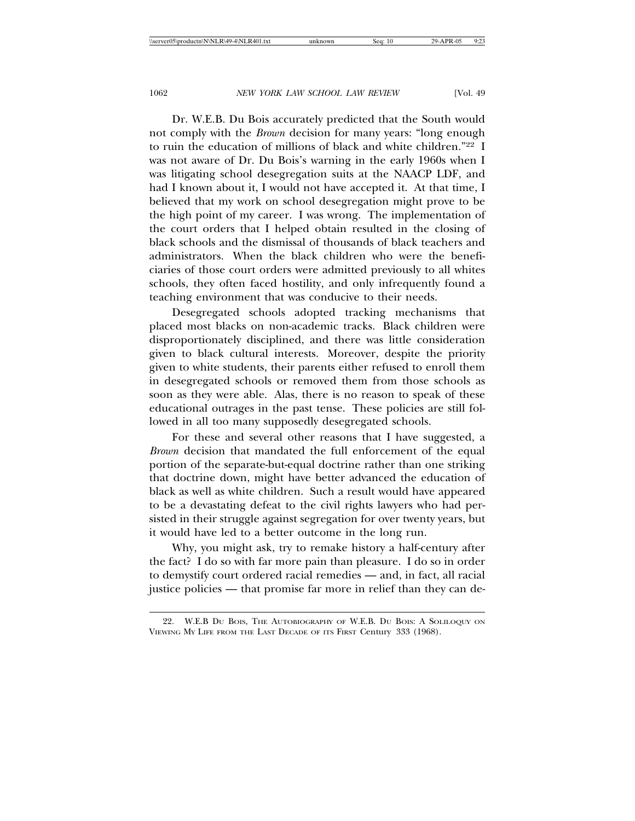Dr. W.E.B. Du Bois accurately predicted that the South would not comply with the *Brown* decision for many years: "long enough to ruin the education of millions of black and white children."22 I was not aware of Dr. Du Bois's warning in the early 1960s when I was litigating school desegregation suits at the NAACP LDF, and had I known about it, I would not have accepted it. At that time, I believed that my work on school desegregation might prove to be the high point of my career. I was wrong. The implementation of the court orders that I helped obtain resulted in the closing of black schools and the dismissal of thousands of black teachers and administrators. When the black children who were the beneficiaries of those court orders were admitted previously to all whites schools, they often faced hostility, and only infrequently found a teaching environment that was conducive to their needs.

Desegregated schools adopted tracking mechanisms that placed most blacks on non-academic tracks. Black children were disproportionately disciplined, and there was little consideration given to black cultural interests. Moreover, despite the priority given to white students, their parents either refused to enroll them in desegregated schools or removed them from those schools as soon as they were able. Alas, there is no reason to speak of these educational outrages in the past tense. These policies are still followed in all too many supposedly desegregated schools.

For these and several other reasons that I have suggested, a *Brown* decision that mandated the full enforcement of the equal portion of the separate-but-equal doctrine rather than one striking that doctrine down, might have better advanced the education of black as well as white children. Such a result would have appeared to be a devastating defeat to the civil rights lawyers who had persisted in their struggle against segregation for over twenty years, but it would have led to a better outcome in the long run.

Why, you might ask, try to remake history a half-century after the fact? I do so with far more pain than pleasure. I do so in order to demystify court ordered racial remedies — and, in fact, all racial justice policies — that promise far more in relief than they can de-

<sup>22.</sup> W.E.B DU BOIS, THE AUTOBIOGRAPHY OF W.E.B. DU BOIS: A SOLILOQUY ON VIEWING MY LIFE FROM THE LAST DECADE OF ITS FIRST Century 333 (1968).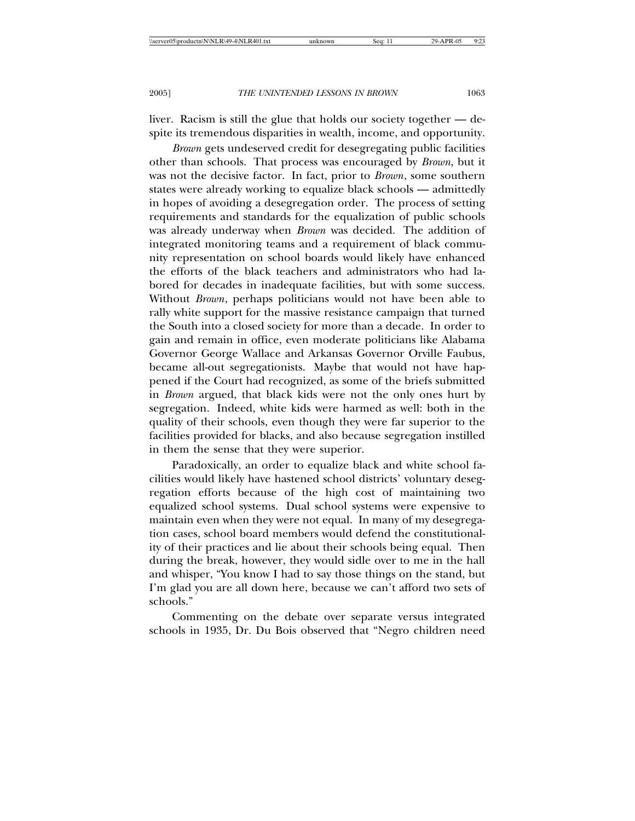liver. Racism is still the glue that holds our society together — despite its tremendous disparities in wealth, income, and opportunity.

*Brown* gets undeserved credit for desegregating public facilities other than schools. That process was encouraged by *Brown*, but it was not the decisive factor. In fact, prior to *Brown*, some southern states were already working to equalize black schools — admittedly in hopes of avoiding a desegregation order. The process of setting requirements and standards for the equalization of public schools was already underway when *Brown* was decided. The addition of integrated monitoring teams and a requirement of black community representation on school boards would likely have enhanced the efforts of the black teachers and administrators who had labored for decades in inadequate facilities, but with some success. Without *Brown*, perhaps politicians would not have been able to rally white support for the massive resistance campaign that turned the South into a closed society for more than a decade. In order to gain and remain in office, even moderate politicians like Alabama Governor George Wallace and Arkansas Governor Orville Faubus, became all-out segregationists. Maybe that would not have happened if the Court had recognized, as some of the briefs submitted in *Brown* argued, that black kids were not the only ones hurt by segregation. Indeed, white kids were harmed as well: both in the quality of their schools, even though they were far superior to the facilities provided for blacks, and also because segregation instilled in them the sense that they were superior.

Paradoxically, an order to equalize black and white school facilities would likely have hastened school districts' voluntary desegregation efforts because of the high cost of maintaining two equalized school systems. Dual school systems were expensive to maintain even when they were not equal. In many of my desegregation cases, school board members would defend the constitutionality of their practices and lie about their schools being equal. Then during the break, however, they would sidle over to me in the hall and whisper, "You know I had to say those things on the stand, but I'm glad you are all down here, because we can't afford two sets of schools."

Commenting on the debate over separate versus integrated schools in 1935, Dr. Du Bois observed that "Negro children need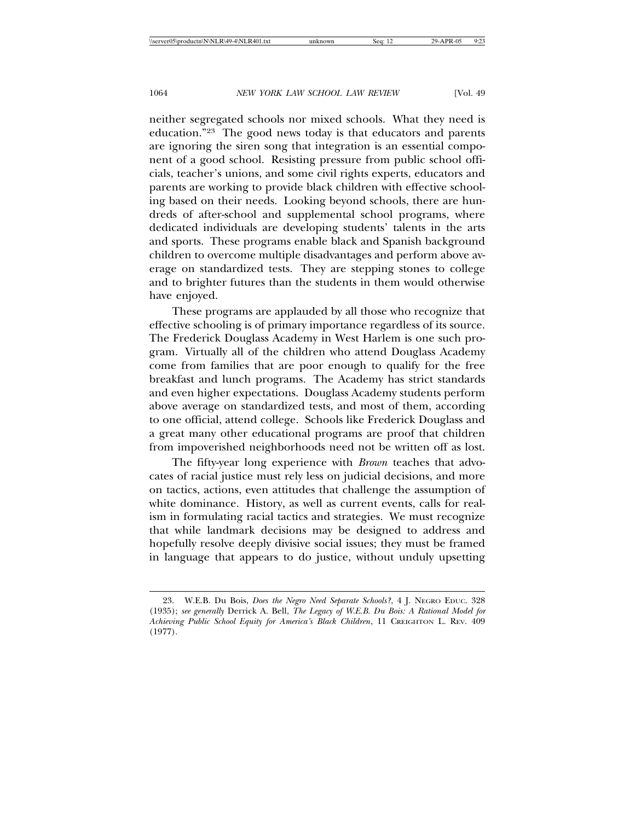neither segregated schools nor mixed schools. What they need is education."23 The good news today is that educators and parents are ignoring the siren song that integration is an essential component of a good school. Resisting pressure from public school officials, teacher's unions, and some civil rights experts, educators and parents are working to provide black children with effective schooling based on their needs. Looking beyond schools, there are hundreds of after-school and supplemental school programs, where dedicated individuals are developing students' talents in the arts and sports. These programs enable black and Spanish background children to overcome multiple disadvantages and perform above average on standardized tests. They are stepping stones to college and to brighter futures than the students in them would otherwise have enjoyed.

These programs are applauded by all those who recognize that effective schooling is of primary importance regardless of its source. The Frederick Douglass Academy in West Harlem is one such program. Virtually all of the children who attend Douglass Academy come from families that are poor enough to qualify for the free breakfast and lunch programs. The Academy has strict standards and even higher expectations. Douglass Academy students perform above average on standardized tests, and most of them, according to one official, attend college. Schools like Frederick Douglass and a great many other educational programs are proof that children from impoverished neighborhoods need not be written off as lost.

The fifty-year long experience with *Brown* teaches that advocates of racial justice must rely less on judicial decisions, and more on tactics, actions, even attitudes that challenge the assumption of white dominance. History, as well as current events, calls for realism in formulating racial tactics and strategies. We must recognize that while landmark decisions may be designed to address and hopefully resolve deeply divisive social issues; they must be framed in language that appears to do justice, without unduly upsetting

<sup>23.</sup> W.E.B. Du Bois, *Does the Negro Need Separate Schools?*, 4 J. NEGRO EDUC. 328 (1935); *see generally* Derrick A. Bell, *The Legacy of W.E.B. Du Bois: A Rational Model for Achieving Public School Equity for America's Black Children*, 11 CREIGHTON L. REV. 409 (1977).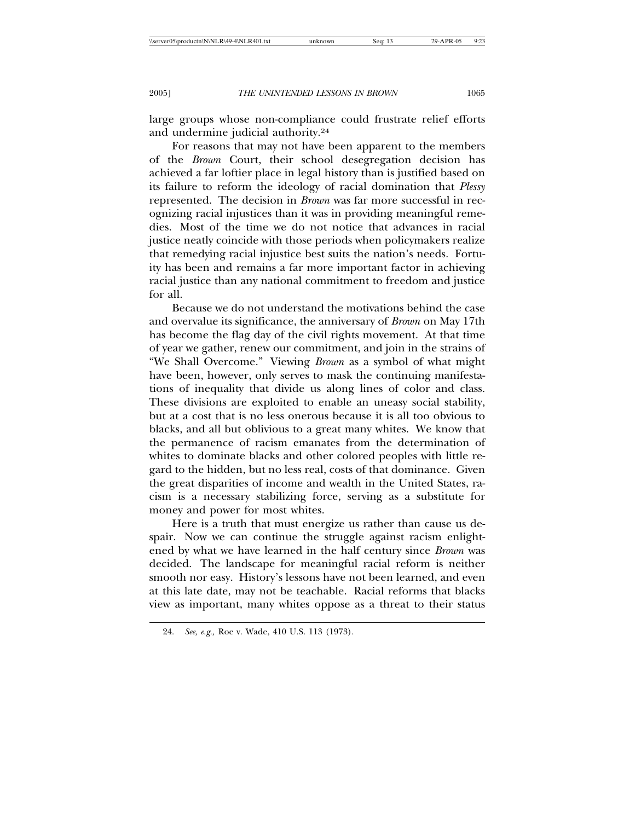large groups whose non-compliance could frustrate relief efforts and undermine judicial authority.24

For reasons that may not have been apparent to the members of the *Brown* Court, their school desegregation decision has achieved a far loftier place in legal history than is justified based on its failure to reform the ideology of racial domination that *Plessy* represented. The decision in *Brown* was far more successful in recognizing racial injustices than it was in providing meaningful remedies. Most of the time we do not notice that advances in racial justice neatly coincide with those periods when policymakers realize that remedying racial injustice best suits the nation's needs. Fortuity has been and remains a far more important factor in achieving racial justice than any national commitment to freedom and justice for all.

Because we do not understand the motivations behind the case and overvalue its significance, the anniversary of *Brown* on May 17th has become the flag day of the civil rights movement. At that time of year we gather, renew our commitment, and join in the strains of "We Shall Overcome." Viewing *Brown* as a symbol of what might have been, however, only serves to mask the continuing manifestations of inequality that divide us along lines of color and class. These divisions are exploited to enable an uneasy social stability, but at a cost that is no less onerous because it is all too obvious to blacks, and all but oblivious to a great many whites. We know that the permanence of racism emanates from the determination of whites to dominate blacks and other colored peoples with little regard to the hidden, but no less real, costs of that dominance. Given the great disparities of income and wealth in the United States, racism is a necessary stabilizing force, serving as a substitute for money and power for most whites.

Here is a truth that must energize us rather than cause us despair. Now we can continue the struggle against racism enlightened by what we have learned in the half century since *Brown* was decided. The landscape for meaningful racial reform is neither smooth nor easy. History's lessons have not been learned, and even at this late date, may not be teachable. Racial reforms that blacks view as important, many whites oppose as a threat to their status

<sup>24.</sup> *See, e.g.,* Roe v. Wade, 410 U.S. 113 (1973).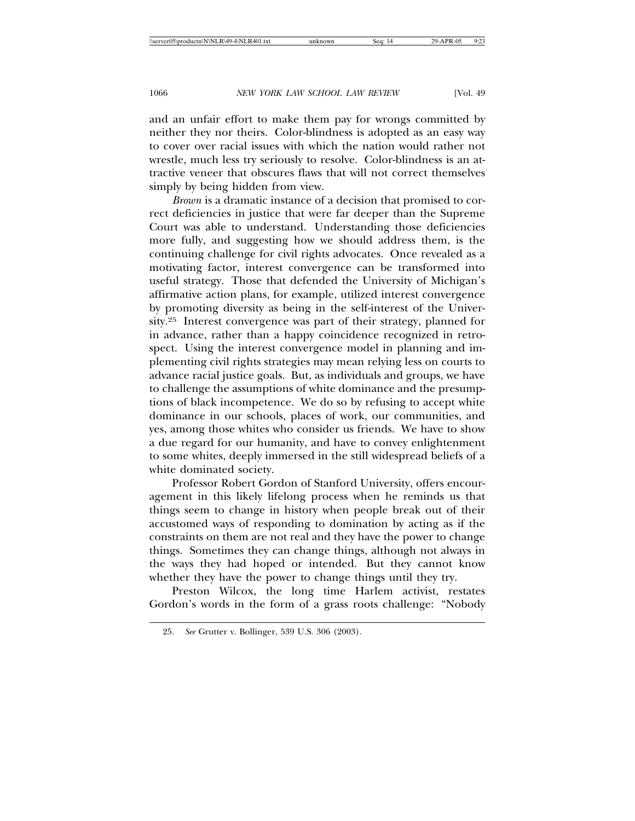and an unfair effort to make them pay for wrongs committed by neither they nor theirs. Color-blindness is adopted as an easy way to cover over racial issues with which the nation would rather not wrestle, much less try seriously to resolve. Color-blindness is an attractive veneer that obscures flaws that will not correct themselves simply by being hidden from view.

*Brown* is a dramatic instance of a decision that promised to correct deficiencies in justice that were far deeper than the Supreme Court was able to understand. Understanding those deficiencies more fully, and suggesting how we should address them, is the continuing challenge for civil rights advocates. Once revealed as a motivating factor, interest convergence can be transformed into useful strategy. Those that defended the University of Michigan's affirmative action plans, for example, utilized interest convergence by promoting diversity as being in the self-interest of the University.25 Interest convergence was part of their strategy, planned for in advance, rather than a happy coincidence recognized in retrospect. Using the interest convergence model in planning and implementing civil rights strategies may mean relying less on courts to advance racial justice goals. But, as individuals and groups, we have to challenge the assumptions of white dominance and the presumptions of black incompetence. We do so by refusing to accept white dominance in our schools, places of work, our communities, and yes, among those whites who consider us friends. We have to show a due regard for our humanity, and have to convey enlightenment to some whites, deeply immersed in the still widespread beliefs of a white dominated society.

Professor Robert Gordon of Stanford University, offers encouragement in this likely lifelong process when he reminds us that things seem to change in history when people break out of their accustomed ways of responding to domination by acting as if the constraints on them are not real and they have the power to change things. Sometimes they can change things, although not always in the ways they had hoped or intended. But they cannot know whether they have the power to change things until they try.

Preston Wilcox, the long time Harlem activist, restates Gordon's words in the form of a grass roots challenge: "Nobody

<sup>25.</sup> *See* Grutter v. Bollinger, 539 U.S. 306 (2003).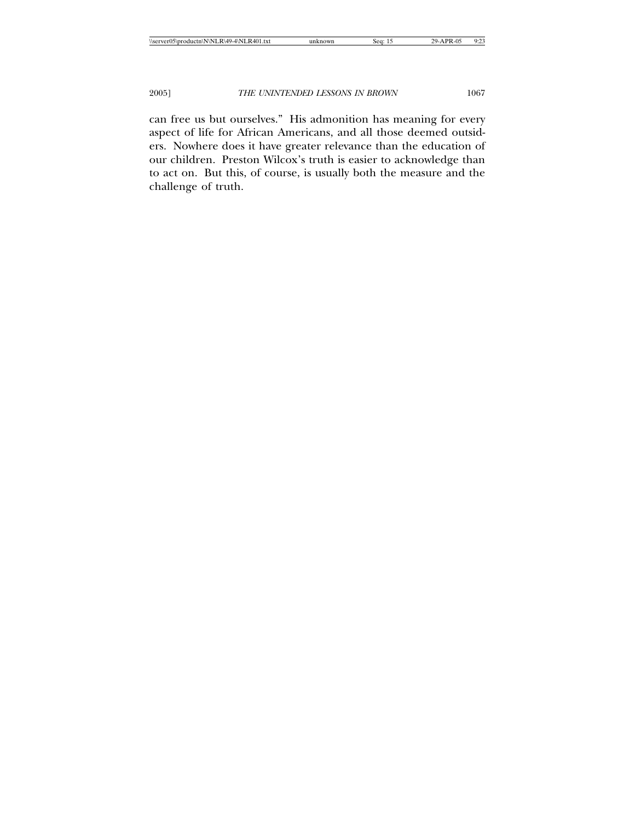can free us but ourselves." His admonition has meaning for every aspect of life for African Americans, and all those deemed outsiders. Nowhere does it have greater relevance than the education of our children. Preston Wilcox's truth is easier to acknowledge than to act on. But this, of course, is usually both the measure and the challenge of truth.